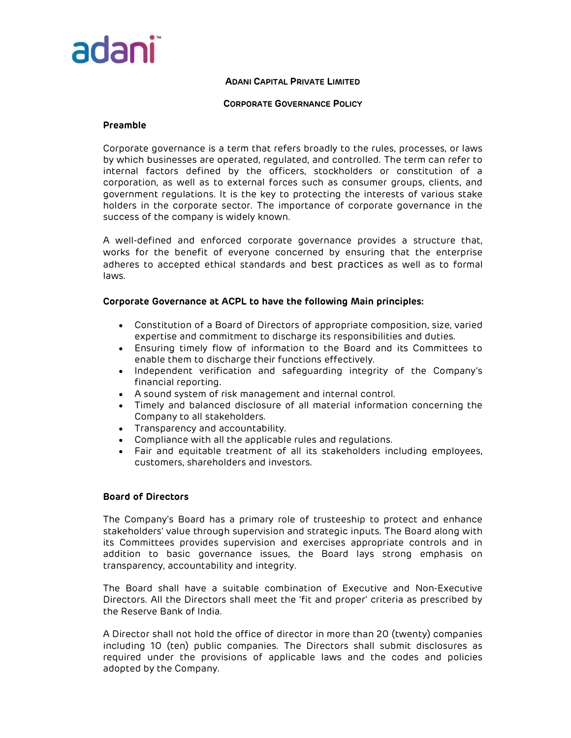

#### CORPORATE GOVERNANCE POLICY

# Preamble

Corporate governance is a term that refers broadly to the rules, processes, or laws by which businesses are operated, regulated, and controlled. The term can refer to internal factors defined by the officers, stockholders or constitution of a corporation, as well as to external forces such as consumer groups, clients, and government regulations. It is the key to protecting the interests of various stake holders in the corporate sector. The importance of corporate governance in the success of the company is widely known.

A well-defined and enforced corporate governance provides a structure that, works for the benefit of everyone concerned by ensuring that the enterprise adheres to accepted ethical standards and best practices as well as to formal laws.

# Corporate Governance at ACPL to have the following Main principles:

- Constitution of a Board of Directors of appropriate composition, size, varied expertise and commitment to discharge its responsibilities and duties.
- Ensuring timely flow of information to the Board and its Committees to enable them to discharge their functions effectively.
- Independent verification and safeguarding integrity of the Company's financial reporting.
- A sound system of risk management and internal control.
- Timely and balanced disclosure of all material information concerning the Company to all stakeholders.
- Transparency and accountability.
- Compliance with all the applicable rules and regulations.
- Fair and equitable treatment of all its stakeholders including employees, customers, shareholders and investors.

# Board of Directors

The Company's Board has a primary role of trusteeship to protect and enhance stakeholders' value through supervision and strategic inputs. The Board along with its Committees provides supervision and exercises appropriate controls and in addition to basic governance issues, the Board lays strong emphasis on transparency, accountability and integrity.

The Board shall have a suitable combination of Executive and Non-Executive Directors. All the Directors shall meet the 'fit and proper' criteria as prescribed by the Reserve Bank of India.

A Director shall not hold the office of director in more than 20 (twenty) companies including 10 (ten) public companies. The Directors shall submit disclosures as required under the provisions of applicable laws and the codes and policies adopted by the Company.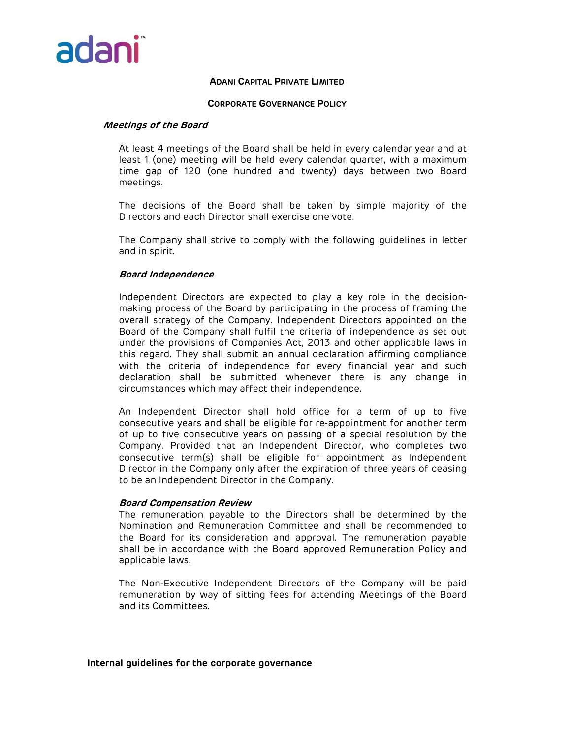

#### CORPORATE GOVERNANCE POLICY

#### Meetings of the Board

At least 4 meetings of the Board shall be held in every calendar year and at least 1 (one) meeting will be held every calendar quarter, with a maximum time gap of 120 (one hundred and twenty) days between two Board meetings.

The decisions of the Board shall be taken by simple majority of the Directors and each Director shall exercise one vote.

The Company shall strive to comply with the following guidelines in letter and in spirit.

# Board Independence

Independent Directors are expected to play a key role in the decisionmaking process of the Board by participating in the process of framing the overall strategy of the Company. Independent Directors appointed on the Board of the Company shall fulfil the criteria of independence as set out under the provisions of Companies Act, 2013 and other applicable laws in this regard. They shall submit an annual declaration affirming compliance with the criteria of independence for every financial year and such declaration shall be submitted whenever there is any change in circumstances which may affect their independence.

An Independent Director shall hold office for a term of up to five consecutive years and shall be eligible for re-appointment for another term of up to five consecutive years on passing of a special resolution by the Company. Provided that an Independent Director, who completes two consecutive term(s) shall be eligible for appointment as Independent Director in the Company only after the expiration of three years of ceasing to be an Independent Director in the Company.

#### Board Compensation Review

The remuneration payable to the Directors shall be determined by the Nomination and Remuneration Committee and shall be recommended to the Board for its consideration and approval. The remuneration payable shall be in accordance with the Board approved Remuneration Policy and applicable laws.

The Non-Executive Independent Directors of the Company will be paid remuneration by way of sitting fees for attending Meetings of the Board and its Committees.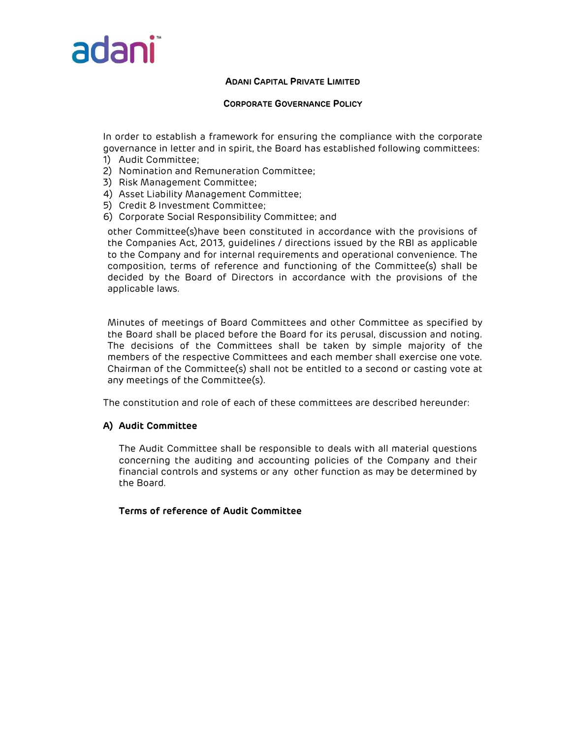

# CORPORATE GOVERNANCE POLICY

In order to establish a framework for ensuring the compliance with the corporate governance in letter and in spirit, the Board has established following committees:

- 1) Audit Committee;
- 2) Nomination and Remuneration Committee;
- 3) Risk Management Committee;
- 4) Asset Liability Management Committee;
- 5) Credit & Investment Committee;
- 6) Corporate Social Responsibility Committee; and

other Committee(s)have been constituted in accordance with the provisions of the Companies Act, 2013, guidelines / directions issued by the RBI as applicable to the Company and for internal requirements and operational convenience. The composition, terms of reference and functioning of the Committee(s) shall be decided by the Board of Directors in accordance with the provisions of the applicable laws.

Minutes of meetings of Board Committees and other Committee as specified by the Board shall be placed before the Board for its perusal, discussion and noting. The decisions of the Committees shall be taken by simple majority of the members of the respective Committees and each member shall exercise one vote. Chairman of the Committee(s) shall not be entitled to a second or casting vote at any meetings of the Committee(s).

The constitution and role of each of these committees are described hereunder:

# A) Audit Committee

The Audit Committee shall be responsible to deals with all material questions concerning the auditing and accounting policies of the Company and their financial controls and systems or any other function as may be determined by the Board.

Terms of reference of Audit Committee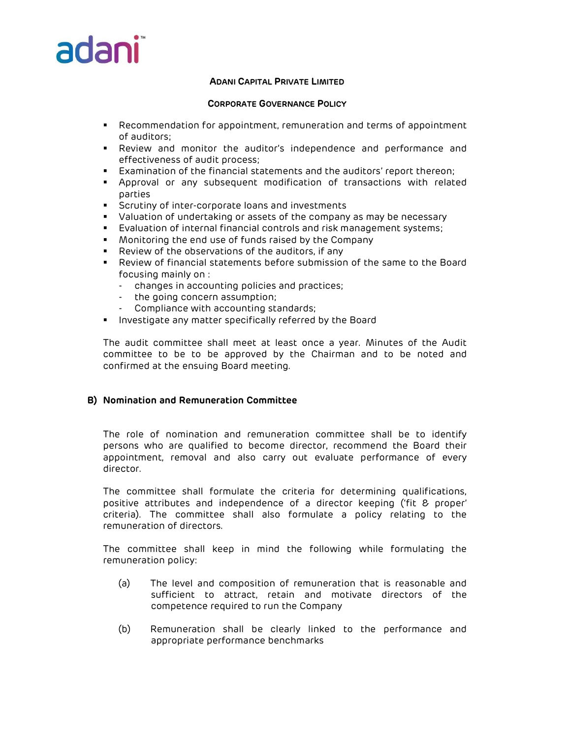# adar

# ADANI CAPITAL PRIVATE LIMITED

#### CORPORATE GOVERNANCE POLICY

- Recommendation for appointment, remuneration and terms of appointment of auditors;
- Review and monitor the auditor's independence and performance and effectiveness of audit process;
- Examination of the financial statements and the auditors' report thereon;
- Approval or any subsequent modification of transactions with related parties
- **Scrutiny of inter-corporate loans and investments**
- Valuation of undertaking or assets of the company as may be necessary
- Evaluation of internal financial controls and risk management systems;
- Monitoring the end use of funds raised by the Company
- Review of the observations of the auditors, if any
- Review of financial statements before submission of the same to the Board focusing mainly on :
	- changes in accounting policies and practices;
	- the going concern assumption;
	- Compliance with accounting standards;
- **Investigate any matter specifically referred by the Board**

The audit committee shall meet at least once a year. Minutes of the Audit committee to be to be approved by the Chairman and to be noted and confirmed at the ensuing Board meeting.

# B) Nomination and Remuneration Committee

The role of nomination and remuneration committee shall be to identify persons who are qualified to become director, recommend the Board their appointment, removal and also carry out evaluate performance of every director.

The committee shall formulate the criteria for determining qualifications, positive attributes and independence of a director keeping ('fit & proper' criteria). The committee shall also formulate a policy relating to the remuneration of directors.

The committee shall keep in mind the following while formulating the remuneration policy:

- (a) The level and composition of remuneration that is reasonable and sufficient to attract, retain and motivate directors of the competence required to run the Company
- (b) Remuneration shall be clearly linked to the performance and appropriate performance benchmarks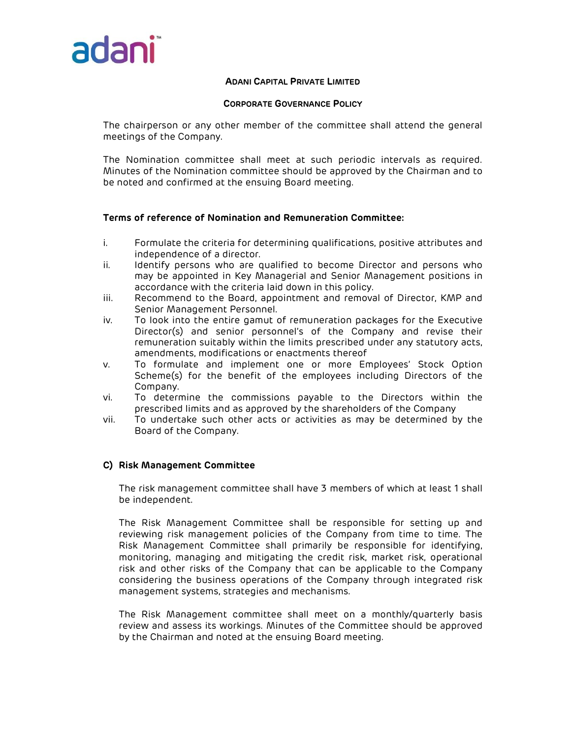

#### CORPORATE GOVERNANCE POLICY

The chairperson or any other member of the committee shall attend the general meetings of the Company.

The Nomination committee shall meet at such periodic intervals as required. Minutes of the Nomination committee should be approved by the Chairman and to be noted and confirmed at the ensuing Board meeting.

# Terms of reference of Nomination and Remuneration Committee:

- i. Formulate the criteria for determining qualifications, positive attributes and independence of a director.
- ii. Identify persons who are qualified to become Director and persons who may be appointed in Key Managerial and Senior Management positions in accordance with the criteria laid down in this policy.
- iii. Recommend to the Board, appointment and removal of Director, KMP and Senior Management Personnel.
- iv. To look into the entire gamut of remuneration packages for the Executive Director(s) and senior personnel's of the Company and revise their remuneration suitably within the limits prescribed under any statutory acts, amendments, modifications or enactments thereof
- v. To formulate and implement one or more Employees' Stock Option Scheme(s) for the benefit of the employees including Directors of the Company.
- vi. To determine the commissions payable to the Directors within the prescribed limits and as approved by the shareholders of the Company
- vii. To undertake such other acts or activities as may be determined by the Board of the Company.

# C) Risk Management Committee

The risk management committee shall have 3 members of which at least 1 shall be independent.

The Risk Management Committee shall be responsible for setting up and reviewing risk management policies of the Company from time to time. The Risk Management Committee shall primarily be responsible for identifying, monitoring, managing and mitigating the credit risk, market risk, operational risk and other risks of the Company that can be applicable to the Company considering the business operations of the Company through integrated risk management systems, strategies and mechanisms.

The Risk Management committee shall meet on a monthly/quarterly basis review and assess its workings. Minutes of the Committee should be approved by the Chairman and noted at the ensuing Board meeting.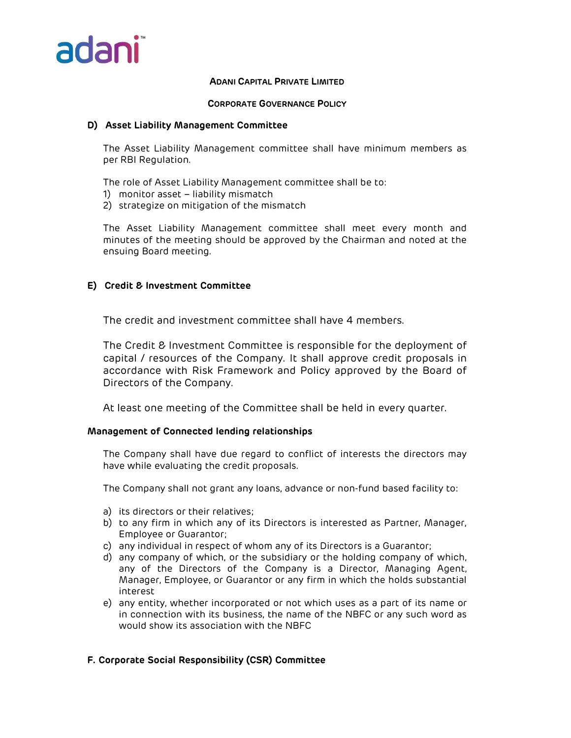

# CORPORATE GOVERNANCE POLICY

# D) Asset Liability Management Committee

The Asset Liability Management committee shall have minimum members as per RBI Regulation.

- The role of Asset Liability Management committee shall be to:
- 1) monitor asset liability mismatch
- 2) strategize on mitigation of the mismatch

The Asset Liability Management committee shall meet every month and minutes of the meeting should be approved by the Chairman and noted at the ensuing Board meeting.

# E) Credit & Investment Committee

The credit and investment committee shall have 4 members.

The Credit & Investment Committee is responsible for the deployment of capital / resources of the Company. It shall approve credit proposals in accordance with Risk Framework and Policy approved by the Board of Directors of the Company.

At least one meeting of the Committee shall be held in every quarter.

# Management of Connected lending relationships

The Company shall have due regard to conflict of interests the directors may have while evaluating the credit proposals.

The Company shall not grant any loans, advance or non-fund based facility to:

- a) its directors or their relatives;
- b) to any firm in which any of its Directors is interested as Partner, Manager, Employee or Guarantor;
- c) any individual in respect of whom any of its Directors is a Guarantor;
- d) any company of which, or the subsidiary or the holding company of which, any of the Directors of the Company is a Director, Managing Agent, Manager, Employee, or Guarantor or any firm in which the holds substantial interest
- e) any entity, whether incorporated or not which uses as a part of its name or in connection with its business, the name of the NBFC or any such word as would show its association with the NBFC

# F. Corporate Social Responsibility (CSR) Committee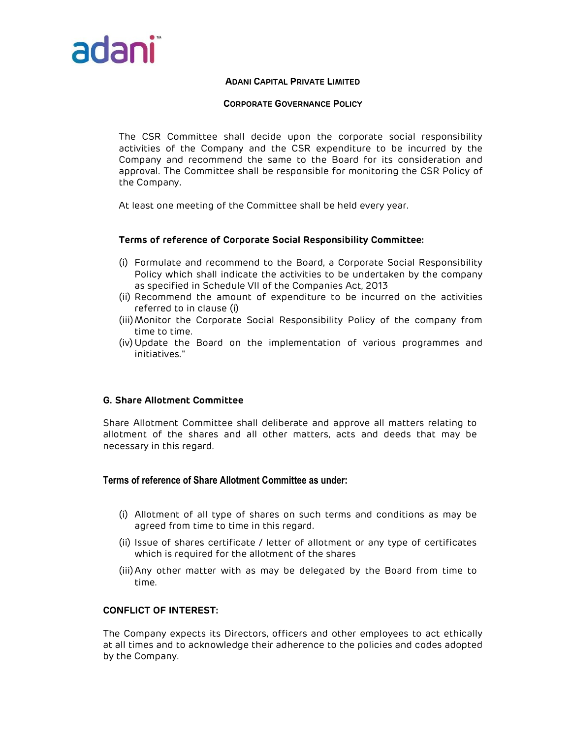

# CORPORATE GOVERNANCE POLICY

The CSR Committee shall decide upon the corporate social responsibility activities of the Company and the CSR expenditure to be incurred by the Company and recommend the same to the Board for its consideration and approval. The Committee shall be responsible for monitoring the CSR Policy of the Company.

At least one meeting of the Committee shall be held every year.

# Terms of reference of Corporate Social Responsibility Committee:

- (i) Formulate and recommend to the Board, a Corporate Social Responsibility Policy which shall indicate the activities to be undertaken by the company as specified in Schedule VII of the Companies Act, 2013
- (ii) Recommend the amount of expenditure to be incurred on the activities referred to in clause (i)
- (iii)Monitor the Corporate Social Responsibility Policy of the company from time to time.
- (iv) Update the Board on the implementation of various programmes and initiatives."

# G. Share Allotment Committee

Share Allotment Committee shall deliberate and approve all matters relating to allotment of the shares and all other matters, acts and deeds that may be necessary in this regard.

# Terms of reference of Share Allotment Committee as under:

- (i) Allotment of all type of shares on such terms and conditions as may be agreed from time to time in this regard.
- (ii) Issue of shares certificate / letter of allotment or any type of certificates which is required for the allotment of the shares
- (iii)Any other matter with as may be delegated by the Board from time to time.

# CONFLICT OF INTEREST:

The Company expects its Directors, officers and other employees to act ethically at all times and to acknowledge their adherence to the policies and codes adopted by the Company.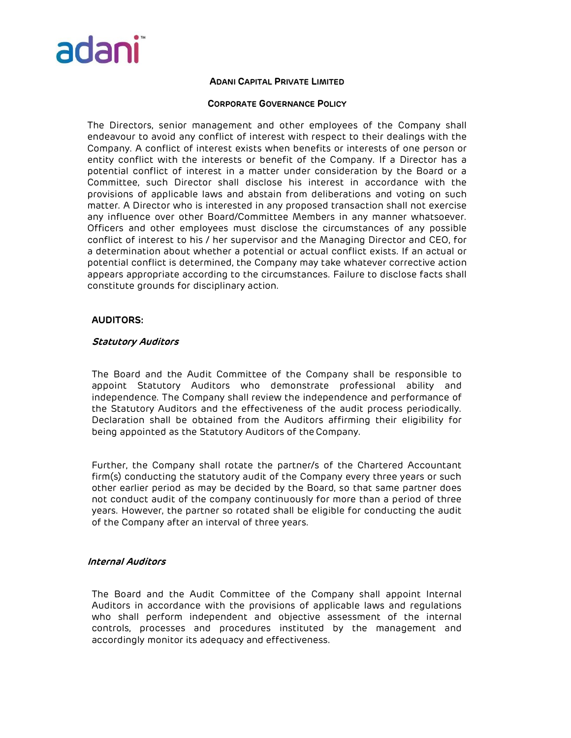

# CORPORATE GOVERNANCE POLICY

The Directors, senior management and other employees of the Company shall endeavour to avoid any conflict of interest with respect to their dealings with the Company. A conflict of interest exists when benefits or interests of one person or entity conflict with the interests or benefit of the Company. If a Director has a potential conflict of interest in a matter under consideration by the Board or a Committee, such Director shall disclose his interest in accordance with the provisions of applicable laws and abstain from deliberations and voting on such matter. A Director who is interested in any proposed transaction shall not exercise any influence over other Board/Committee Members in any manner whatsoever. Officers and other employees must disclose the circumstances of any possible conflict of interest to his / her supervisor and the Managing Director and CEO, for a determination about whether a potential or actual conflict exists. If an actual or potential conflict is determined, the Company may take whatever corrective action appears appropriate according to the circumstances. Failure to disclose facts shall constitute grounds for disciplinary action.

# AUDITORS:

# Statutory Auditors

The Board and the Audit Committee of the Company shall be responsible to appoint Statutory Auditors who demonstrate professional ability and independence. The Company shall review the independence and performance of the Statutory Auditors and the effectiveness of the audit process periodically. Declaration shall be obtained from the Auditors affirming their eligibility for being appointed as the Statutory Auditors of the Company.

Further, the Company shall rotate the partner/s of the Chartered Accountant firm(s) conducting the statutory audit of the Company every three years or such other earlier period as may be decided by the Board, so that same partner does not conduct audit of the company continuously for more than a period of three years. However, the partner so rotated shall be eligible for conducting the audit of the Company after an interval of three years.

# Internal Auditors

The Board and the Audit Committee of the Company shall appoint Internal Auditors in accordance with the provisions of applicable laws and regulations who shall perform independent and objective assessment of the internal controls, processes and procedures instituted by the management and accordingly monitor its adequacy and effectiveness.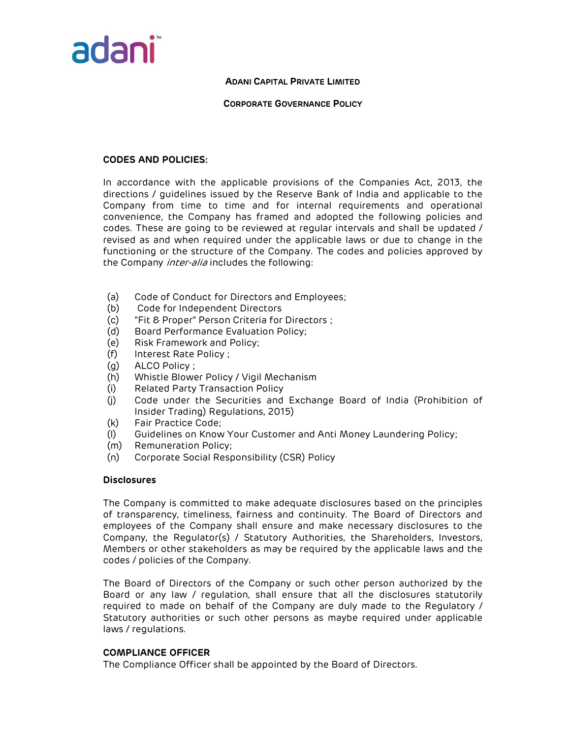

# CORPORATE GOVERNANCE POLICY

# CODES AND POLICIES:

In accordance with the applicable provisions of the Companies Act, 2013, the directions / guidelines issued by the Reserve Bank of India and applicable to the Company from time to time and for internal requirements and operational convenience, the Company has framed and adopted the following policies and codes. These are going to be reviewed at regular intervals and shall be updated / revised as and when required under the applicable laws or due to change in the functioning or the structure of the Company. The codes and policies approved by the Company *inter-alia* includes the following:

- (a) Code of Conduct for Directors and Employees;
- (b) Code for Independent Directors
- (c) "Fit & Proper" Person Criteria for Directors ;
- (d) Board Performance Evaluation Policy;
- (e) Risk Framework and Policy;
- (f) Interest Rate Policy ;
- (g) ALCO Policy ;
- (h) Whistle Blower Policy / Vigil Mechanism
- (i) Related Party Transaction Policy
- (j) Code under the Securities and Exchange Board of India (Prohibition of Insider Trading) Regulations, 2015)
- (k) Fair Practice Code;
- (l) Guidelines on Know Your Customer and Anti Money Laundering Policy;
- (m) Remuneration Policy;
- (n) Corporate Social Responsibility (CSR) Policy

# **Disclosures**

The Company is committed to make adequate disclosures based on the principles of transparency, timeliness, fairness and continuity. The Board of Directors and employees of the Company shall ensure and make necessary disclosures to the Company, the Regulator(s) / Statutory Authorities, the Shareholders, Investors, Members or other stakeholders as may be required by the applicable laws and the codes / policies of the Company.

The Board of Directors of the Company or such other person authorized by the Board or any law / regulation, shall ensure that all the disclosures statutorily required to made on behalf of the Company are duly made to the Regulatory / Statutory authorities or such other persons as maybe required under applicable laws / regulations.

# COMPLIANCE OFFICER

The Compliance Officer shall be appointed by the Board of Directors.